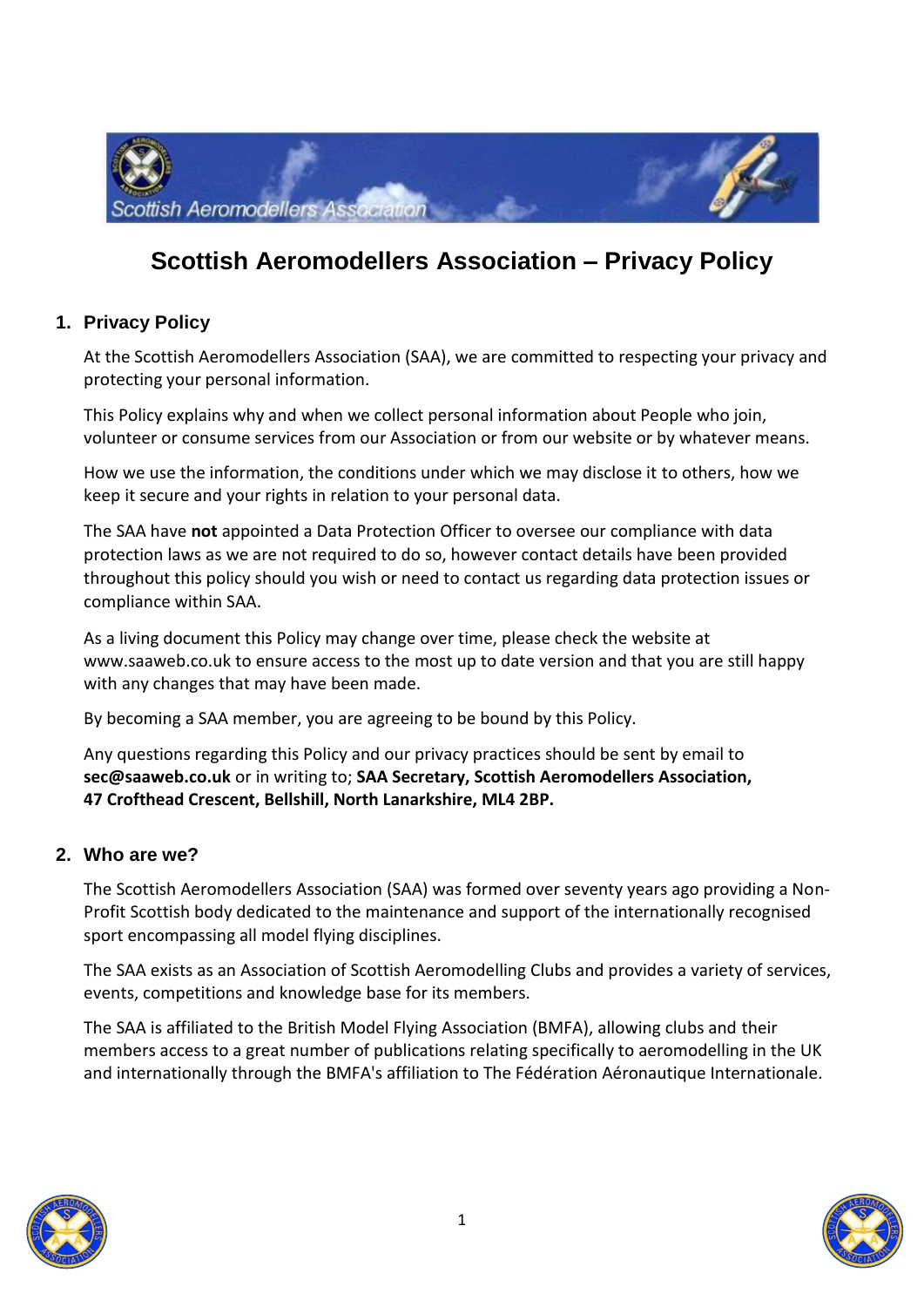

# **Scottish Aeromodellers Association – Privacy Policy**

### **1. Privacy Policy**

At the Scottish Aeromodellers Association (SAA), we are committed to respecting your privacy and protecting your personal information.

This Policy explains why and when we collect personal information about People who join, volunteer or consume services from our Association or from our website or by whatever means.

How we use the information, the conditions under which we may disclose it to others, how we keep it secure and your rights in relation to your personal data.

The SAA have **not** appointed a Data Protection Officer to oversee our compliance with data protection laws as we are not required to do so, however contact details have been provided throughout this policy should you wish or need to contact us regarding data protection issues or compliance within SAA.

As a living document this Policy may change over time, please check the website at www.saaweb.co.uk to ensure access to the most up to date version and that you are still happy with any changes that may have been made.

By becoming a SAA member, you are agreeing to be bound by this Policy.

Any questions regarding this Policy and our privacy practices should be sent by email to **sec@saaweb.co.uk** or in writing to; **SAA Secretary, Scottish Aeromodellers Association, 47 Crofthead Crescent, Bellshill, North Lanarkshire, ML4 2BP.**

### **2. Who are we?**

The Scottish Aeromodellers Association (SAA) was formed over seventy years ago providing a Non-Profit Scottish body dedicated to the maintenance and support of the internationally recognised sport encompassing all model flying disciplines.

The SAA exists as an Association of Scottish Aeromodelling Clubs and provides a variety of services, events, competitions and knowledge base for its members.

The SAA is affiliated to the British Model Flying Association (BMFA), allowing clubs and their members access to a great number of publications relating specifically to aeromodelling in the UK and internationally through the BMFA's affiliation to The Fédération Aéronautique Internationale.



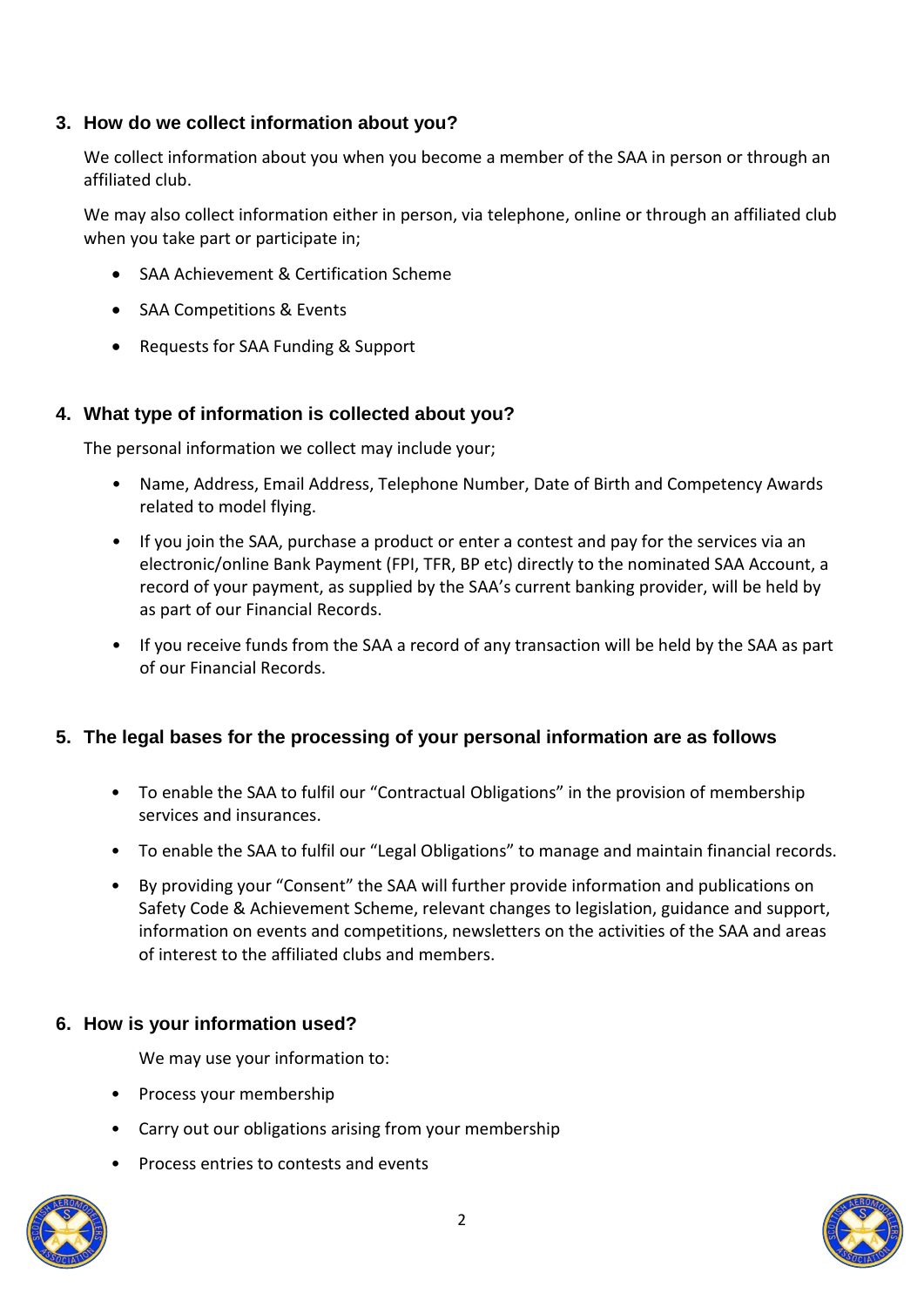### **3. How do we collect information about you?**

We collect information about you when you become a member of the SAA in person or through an affiliated club.

We may also collect information either in person, via telephone, online or through an affiliated club when you take part or participate in;

- SAA Achievement & Certification Scheme
- SAA Competitions & Events
- Requests for SAA Funding & Support

### **4. What type of information is collected about you?**

The personal information we collect may include your;

- Name, Address, Email Address, Telephone Number, Date of Birth and Competency Awards related to model flying.
- If you join the SAA, purchase a product or enter a contest and pay for the services via an electronic/online Bank Payment (FPI, TFR, BP etc) directly to the nominated SAA Account, a record of your payment, as supplied by the SAA's current banking provider, will be held by as part of our Financial Records.
- If you receive funds from the SAA a record of any transaction will be held by the SAA as part of our Financial Records.

### **5. The legal bases for the processing of your personal information are as follows**

- To enable the SAA to fulfil our "Contractual Obligations" in the provision of membership services and insurances.
- To enable the SAA to fulfil our "Legal Obligations" to manage and maintain financial records.
- By providing your "Consent" the SAA will further provide information and publications on Safety Code & Achievement Scheme, relevant changes to legislation, guidance and support, information on events and competitions, newsletters on the activities of the SAA and areas of interest to the affiliated clubs and members.

#### **6. How is your information used?**

We may use your information to:

- Process your membership
- Carry out our obligations arising from your membership
- Process entries to contests and events



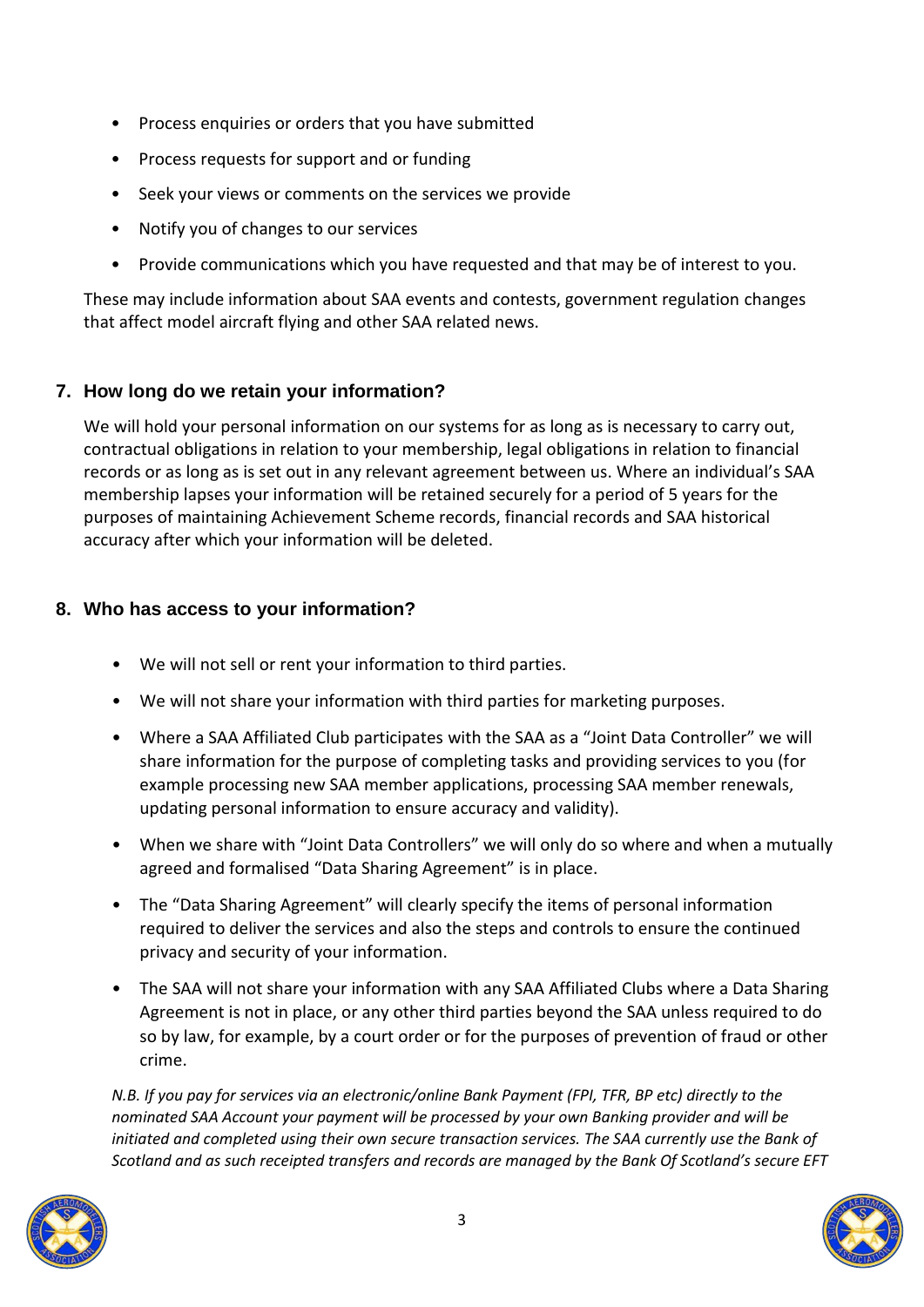- Process enquiries or orders that you have submitted
- Process requests for support and or funding
- Seek your views or comments on the services we provide
- Notify you of changes to our services
- Provide communications which you have requested and that may be of interest to you.

These may include information about SAA events and contests, government regulation changes that affect model aircraft flying and other SAA related news.

# **7. How long do we retain your information?**

We will hold your personal information on our systems for as long as is necessary to carry out, contractual obligations in relation to your membership, legal obligations in relation to financial records or as long as is set out in any relevant agreement between us. Where an individual's SAA membership lapses your information will be retained securely for a period of 5 years for the purposes of maintaining Achievement Scheme records, financial records and SAA historical accuracy after which your information will be deleted.

### **8. Who has access to your information?**

- We will not sell or rent your information to third parties.
- We will not share your information with third parties for marketing purposes.
- Where a SAA Affiliated Club participates with the SAA as a "Joint Data Controller" we will share information for the purpose of completing tasks and providing services to you (for example processing new SAA member applications, processing SAA member renewals, updating personal information to ensure accuracy and validity).
- When we share with "Joint Data Controllers" we will only do so where and when a mutually agreed and formalised "Data Sharing Agreement" is in place.
- The "Data Sharing Agreement" will clearly specify the items of personal information required to deliver the services and also the steps and controls to ensure the continued privacy and security of your information.
- The SAA will not share your information with any SAA Affiliated Clubs where a Data Sharing Agreement is not in place, or any other third parties beyond the SAA unless required to do so by law, for example, by a court order or for the purposes of prevention of fraud or other crime.

*N.B. If you pay for services via an electronic/online Bank Payment (FPI, TFR, BP etc) directly to the nominated SAA Account your payment will be processed by your own Banking provider and will be initiated and completed using their own secure transaction services. The SAA currently use the Bank of Scotland and as such receipted transfers and records are managed by the Bank Of Scotland's secure EFT* 

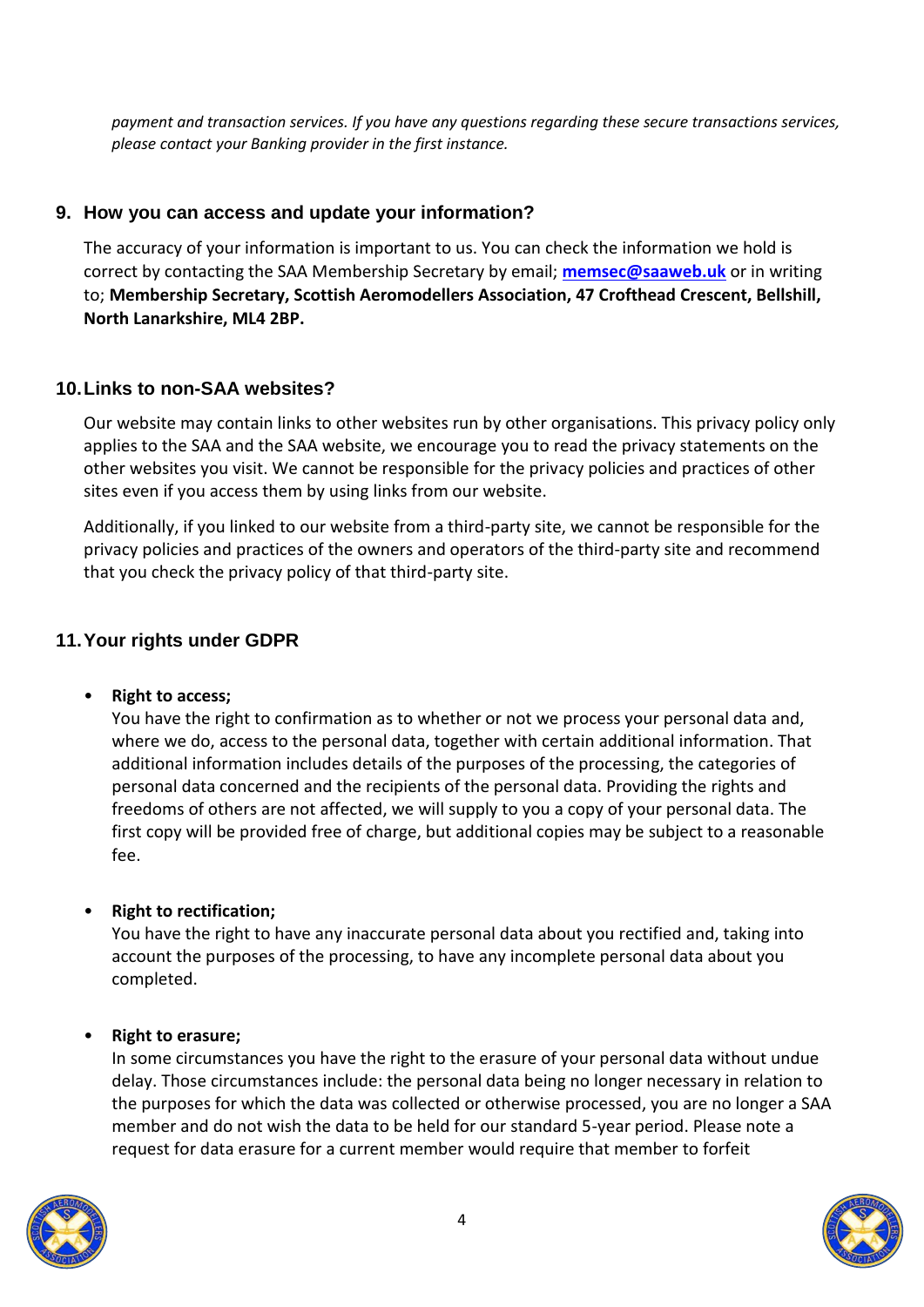*payment and transaction services. If you have any questions regarding these secure transactions services, please contact your Banking provider in the first instance.* 

### **9. How you can access and update your information?**

The accuracy of your information is important to us. You can check the information we hold is correct by contacting the SAA Membership Secretary by email; **[memsec@saaweb.uk](mailto:memsec@saaweb.uk)** or in writing to; **Membership Secretary, Scottish Aeromodellers Association, 47 Crofthead Crescent, Bellshill, North Lanarkshire, ML4 2BP.**

# **10.Links to non-SAA websites?**

Our website may contain links to other websites run by other organisations. This privacy policy only applies to the SAA and the SAA website, we encourage you to read the privacy statements on the other websites you visit. We cannot be responsible for the privacy policies and practices of other sites even if you access them by using links from our website.

Additionally, if you linked to our website from a third-party site, we cannot be responsible for the privacy policies and practices of the owners and operators of the third-party site and recommend that you check the privacy policy of that third-party site.

### **11.Your rights under GDPR**

#### • **Right to access;**

You have the right to confirmation as to whether or not we process your personal data and, where we do, access to the personal data, together with certain additional information. That additional information includes details of the purposes of the processing, the categories of personal data concerned and the recipients of the personal data. Providing the rights and freedoms of others are not affected, we will supply to you a copy of your personal data. The first copy will be provided free of charge, but additional copies may be subject to a reasonable fee.

### • **Right to rectification;**

You have the right to have any inaccurate personal data about you rectified and, taking into account the purposes of the processing, to have any incomplete personal data about you completed.

### • **Right to erasure;**

In some circumstances you have the right to the erasure of your personal data without undue delay. Those circumstances include: the personal data being no longer necessary in relation to the purposes for which the data was collected or otherwise processed, you are no longer a SAA member and do not wish the data to be held for our standard 5-year period. Please note a request for data erasure for a current member would require that member to forfeit